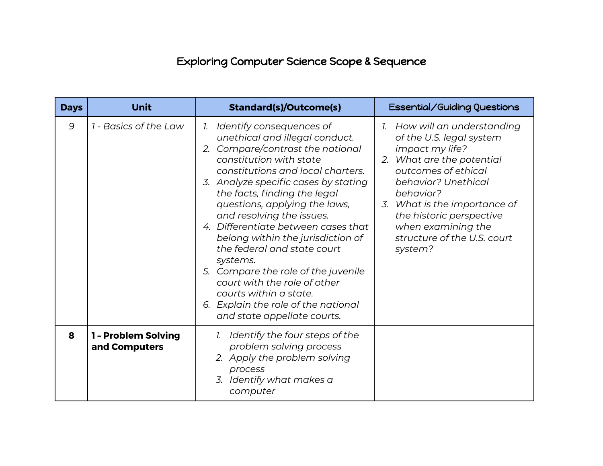## Exploring Computer Science Scope & Sequence

| <b>Days</b> | <b>Unit</b>                          | <b>Standard(s)/Outcome(s)</b>                                                                                                                                                                                                                                                                                                                                                                                                                                                                                                                                                                         | <b>Essential/Guiding Questions</b>                                                                                                                                                                                                                                                              |
|-------------|--------------------------------------|-------------------------------------------------------------------------------------------------------------------------------------------------------------------------------------------------------------------------------------------------------------------------------------------------------------------------------------------------------------------------------------------------------------------------------------------------------------------------------------------------------------------------------------------------------------------------------------------------------|-------------------------------------------------------------------------------------------------------------------------------------------------------------------------------------------------------------------------------------------------------------------------------------------------|
| 9           | 1 - Basics of the Law                | 1. Identify consequences of<br>unethical and illegal conduct.<br>2. Compare/contrast the national<br>constitution with state<br>constitutions and local charters.<br>3. Analyze specific cases by stating<br>the facts, finding the legal<br>questions, applying the laws,<br>and resolving the issues.<br>4. Differentiate between cases that<br>belong within the jurisdiction of<br>the federal and state court<br>systems.<br>5. Compare the role of the juvenile<br>court with the role of other<br>courts within a state.<br>6. Explain the role of the national<br>and state appellate courts. | 1. How will an understanding<br>of the U.S. legal system<br>impact my life?<br>2. What are the potential<br>outcomes of ethical<br>behavior? Unethical<br>behavior?<br>3. What is the importance of<br>the historic perspective<br>when examining the<br>structure of the U.S. court<br>system? |
| 8           | 1 - Problem Solving<br>and Computers | 1. Identify the four steps of the<br>problem solving process<br>2. Apply the problem solving<br>process<br>3. Identify what makes a<br>computer                                                                                                                                                                                                                                                                                                                                                                                                                                                       |                                                                                                                                                                                                                                                                                                 |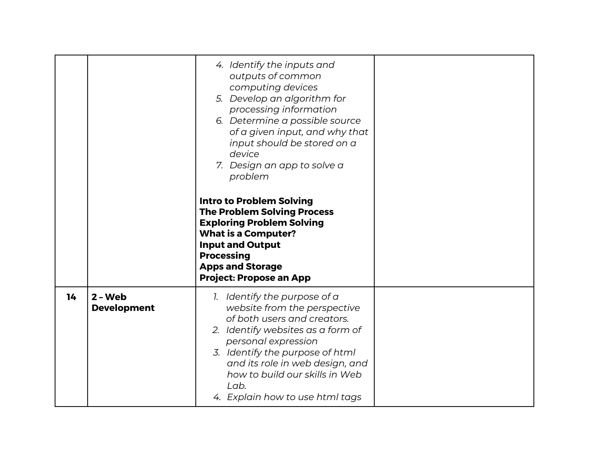|    |                                 | 4. Identify the inputs and<br>outputs of common<br>computing devices<br>5. Develop an algorithm for<br>processing information<br>6. Determine a possible source<br>of a given input, and why that<br>input should be stored on a<br>device<br>7. Design an app to solve a<br>problem                       |  |
|----|---------------------------------|------------------------------------------------------------------------------------------------------------------------------------------------------------------------------------------------------------------------------------------------------------------------------------------------------------|--|
|    |                                 | <b>Intro to Problem Solving</b><br><b>The Problem Solving Process</b><br><b>Exploring Problem Solving</b><br><b>What is a Computer?</b><br><b>Input and Output</b><br><b>Processing</b><br><b>Apps and Storage</b><br><b>Project: Propose an App</b>                                                       |  |
| 14 | $2 - Web$<br><b>Development</b> | 1. Identify the purpose of a<br>website from the perspective<br>of both users and creators.<br>2. Identify websites as a form of<br>personal expression<br>3. Identify the purpose of html<br>and its role in web design, and<br>how to build our skills in Web<br>Lab.<br>4. Explain how to use html tags |  |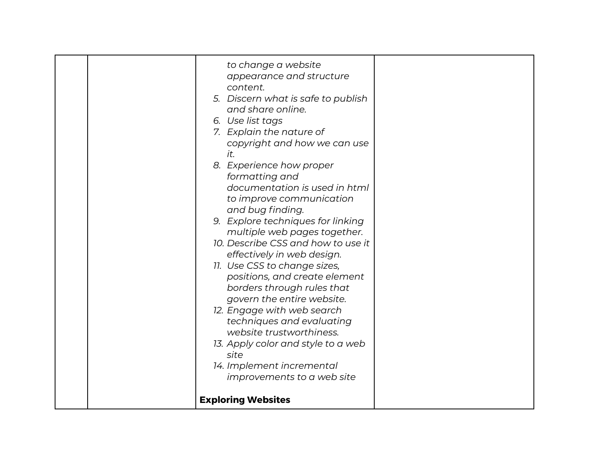| to change a website<br>appearance and structure<br>content.<br>5. Discern what is safe to publish<br>and share online.<br>6. Use list tags<br>7. Explain the nature of<br>copyright and how we can use<br>it.<br>8. Experience how proper<br>formatting and<br>documentation is used in html<br>to improve communication<br>and bug finding.<br>9. Explore techniques for linking<br>multiple web pages together.<br>10. Describe CSS and how to use it<br>effectively in web design.<br>11. Use CSS to change sizes,<br>positions, and create element<br>borders through rules that<br>govern the entire website.<br>12. Engage with web search<br>techniques and evaluating<br>website trustworthiness.<br>13. Apply color and style to a web<br>site<br>14. Implement incremental<br>improvements to a web site |  |
|--------------------------------------------------------------------------------------------------------------------------------------------------------------------------------------------------------------------------------------------------------------------------------------------------------------------------------------------------------------------------------------------------------------------------------------------------------------------------------------------------------------------------------------------------------------------------------------------------------------------------------------------------------------------------------------------------------------------------------------------------------------------------------------------------------------------|--|
| <b>Exploring Websites</b>                                                                                                                                                                                                                                                                                                                                                                                                                                                                                                                                                                                                                                                                                                                                                                                          |  |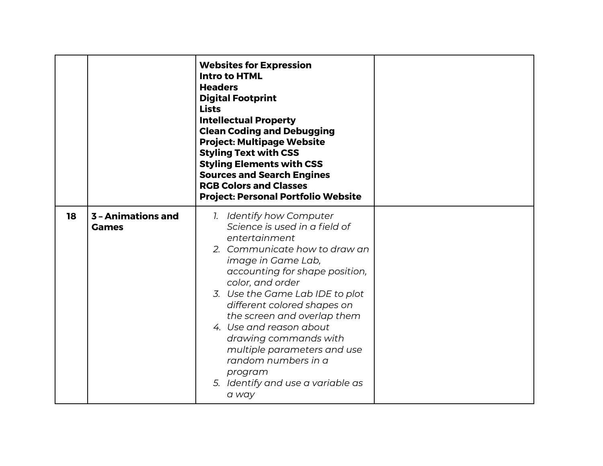|    |                                    | <b>Websites for Expression</b><br><b>Intro to HTML</b><br><b>Headers</b><br><b>Digital Footprint</b><br><b>Lists</b><br><b>Intellectual Property</b><br><b>Clean Coding and Debugging</b><br><b>Project: Multipage Website</b><br><b>Styling Text with CSS</b><br><b>Styling Elements with CSS</b><br><b>Sources and Search Engines</b><br><b>RGB Colors and Classes</b><br><b>Project: Personal Portfolio Website</b>                                      |  |
|----|------------------------------------|-------------------------------------------------------------------------------------------------------------------------------------------------------------------------------------------------------------------------------------------------------------------------------------------------------------------------------------------------------------------------------------------------------------------------------------------------------------|--|
| 18 | 3 - Animations and<br><b>Games</b> | 1. Identify how Computer<br>Science is used in a field of<br>entertainment<br>2. Communicate how to draw an<br>image in Game Lab,<br>accounting for shape position,<br>color, and order<br>3. Use the Game Lab IDE to plot<br>different colored shapes on<br>the screen and overlap them<br>4. Use and reason about<br>drawing commands with<br>multiple parameters and use<br>random numbers in a<br>program<br>5. Identify and use a variable as<br>a way |  |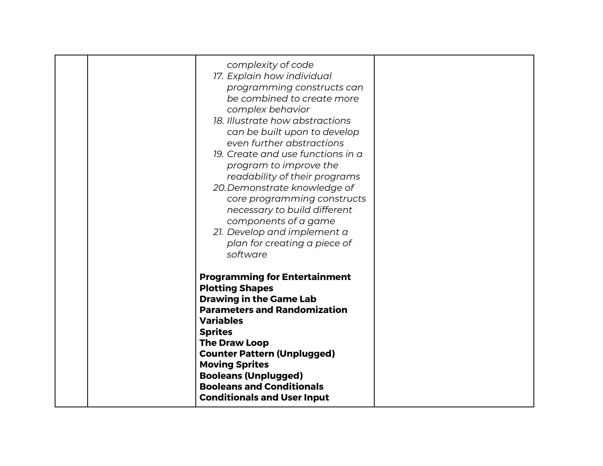| complexity of code<br>17. Explain how individual<br>programming constructs can<br>be combined to create more<br>complex behavior<br>18. Illustrate how abstractions<br>can be built upon to develop<br>even further abstractions<br>19. Create and use functions in a<br>program to improve the<br>readability of their programs<br>20. Demonstrate knowledge of<br>core programming constructs<br>necessary to build different<br>components of a game<br>21. Develop and implement a<br>plan for creating a piece of<br>software |  |
|------------------------------------------------------------------------------------------------------------------------------------------------------------------------------------------------------------------------------------------------------------------------------------------------------------------------------------------------------------------------------------------------------------------------------------------------------------------------------------------------------------------------------------|--|
| <b>Programming for Entertainment</b><br><b>Plotting Shapes</b><br><b>Drawing in the Game Lab</b><br><b>Parameters and Randomization</b><br><b>Variables</b><br><b>Sprites</b><br><b>The Draw Loop</b><br><b>Counter Pattern (Unplugged)</b><br><b>Moving Sprites</b><br><b>Booleans (Unplugged)</b><br><b>Booleans and Conditionals</b><br><b>Conditionals and User Input</b>                                                                                                                                                      |  |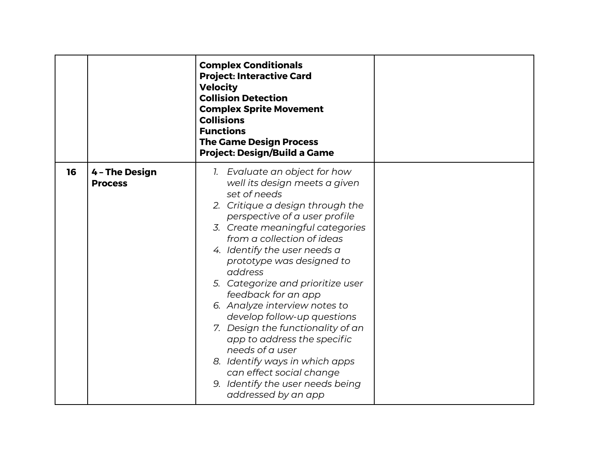|    |                                  | <b>Complex Conditionals</b><br><b>Project: Interactive Card</b><br><b>Velocity</b><br><b>Collision Detection</b><br><b>Complex Sprite Movement</b><br><b>Collisions</b><br><b>Functions</b><br><b>The Game Design Process</b><br><b>Project: Design/Build a Game</b>                                                                                                                                                                                                                                                                                                                                                                     |  |
|----|----------------------------------|------------------------------------------------------------------------------------------------------------------------------------------------------------------------------------------------------------------------------------------------------------------------------------------------------------------------------------------------------------------------------------------------------------------------------------------------------------------------------------------------------------------------------------------------------------------------------------------------------------------------------------------|--|
| 16 | 4 - The Design<br><b>Process</b> | 1. Evaluate an object for how<br>well its design meets a given<br>set of needs<br>2. Critique a design through the<br>perspective of a user profile<br>3. Create meaningful categories<br>from a collection of ideas<br>4. Identify the user needs a<br>prototype was designed to<br>address<br>5. Categorize and prioritize user<br>feedback for an app<br>6. Analyze interview notes to<br>develop follow-up questions<br>7. Design the functionality of an<br>app to address the specific<br>needs of a user<br>8. Identify ways in which apps<br>can effect social change<br>9. Identify the user needs being<br>addressed by an app |  |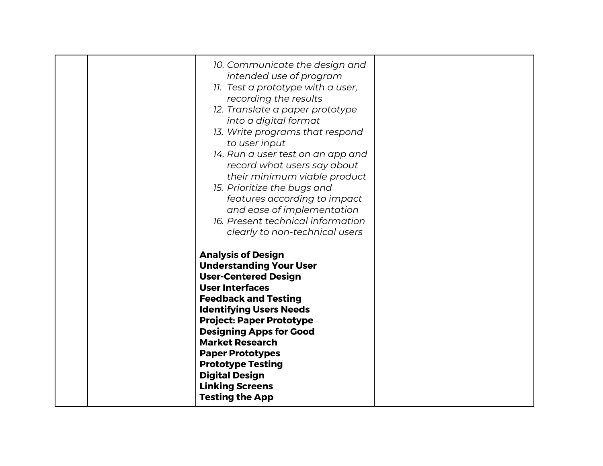| 10. Communicate the design and<br>intended use of program<br>11. Test a prototype with a user,<br>recording the results<br>12. Translate a paper prototype<br>into a digital format<br>13. Write programs that respond<br>to user input<br>14. Run a user test on an app and<br>record what users say about<br>their minimum viable product<br>15. Prioritize the bugs and<br>features according to impact<br>and ease of implementation<br>16. Present technical information<br>clearly to non-technical users |  |
|-----------------------------------------------------------------------------------------------------------------------------------------------------------------------------------------------------------------------------------------------------------------------------------------------------------------------------------------------------------------------------------------------------------------------------------------------------------------------------------------------------------------|--|
| <b>Analysis of Design</b><br><b>Understanding Your User</b><br><b>User-Centered Design</b><br><b>User Interfaces</b><br><b>Feedback and Testing</b><br><b>Identifying Users Needs</b><br><b>Project: Paper Prototype</b><br><b>Designing Apps for Good</b><br><b>Market Research</b><br><b>Paper Prototypes</b><br><b>Prototype Testing</b><br><b>Digital Design</b><br><b>Linking Screens</b><br><b>Testing the App</b>                                                                                        |  |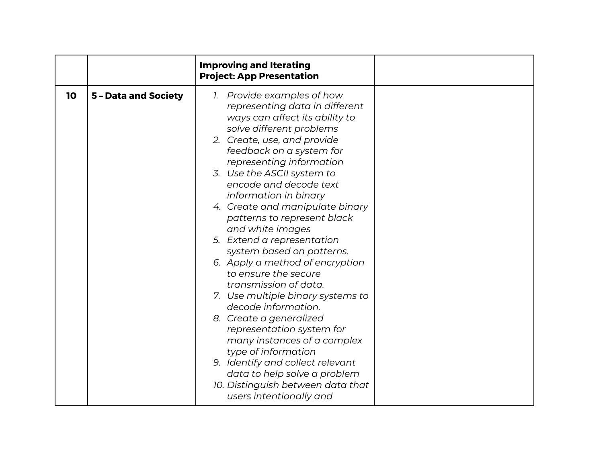|                            | <b>Improving and Iterating</b><br><b>Project: App Presentation</b>                                                                                                                                                                                                                                                                                                                                                                                                                                                                                                                                                                                                                                                                                                                                                                                    |  |
|----------------------------|-------------------------------------------------------------------------------------------------------------------------------------------------------------------------------------------------------------------------------------------------------------------------------------------------------------------------------------------------------------------------------------------------------------------------------------------------------------------------------------------------------------------------------------------------------------------------------------------------------------------------------------------------------------------------------------------------------------------------------------------------------------------------------------------------------------------------------------------------------|--|
| 10<br>5 - Data and Society | 1. Provide examples of how<br>representing data in different<br>ways can affect its ability to<br>solve different problems<br>2. Create, use, and provide<br>feedback on a system for<br>representing information<br>3. Use the ASCII system to<br>encode and decode text<br>information in binary<br>4. Create and manipulate binary<br>patterns to represent black<br>and white images<br>5. Extend a representation<br>system based on patterns.<br>6. Apply a method of encryption<br>to ensure the secure<br>transmission of data.<br>7. Use multiple binary systems to<br>decode information.<br>8. Create a generalized<br>representation system for<br>many instances of a complex<br>type of information<br>9. Identify and collect relevant<br>data to help solve a problem<br>10. Distinguish between data that<br>users intentionally and |  |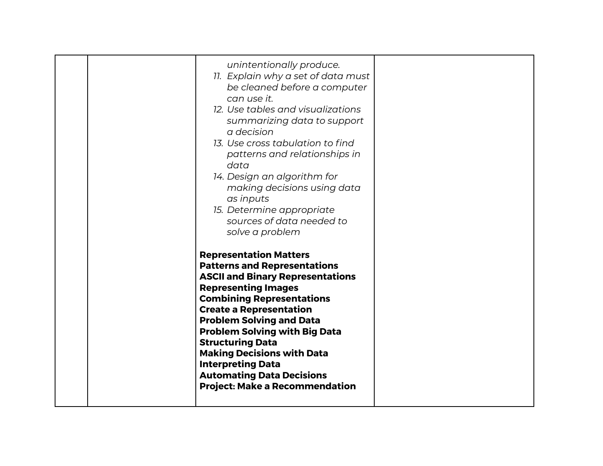| unintentionally produce.<br>11. Explain why a set of data must<br>be cleaned before a computer<br>can use it.<br>12. Use tables and visualizations<br>summarizing data to support<br>a decision<br>13. Use cross tabulation to find<br>patterns and relationships in<br>data<br>14. Design an algorithm for<br>making decisions using data<br>as inputs<br>15. Determine appropriate<br>sources of data needed to<br>solve a problem                                    |  |
|-------------------------------------------------------------------------------------------------------------------------------------------------------------------------------------------------------------------------------------------------------------------------------------------------------------------------------------------------------------------------------------------------------------------------------------------------------------------------|--|
| <b>Representation Matters</b><br><b>Patterns and Representations</b><br><b>ASCII and Binary Representations</b><br><b>Representing Images</b><br><b>Combining Representations</b><br><b>Create a Representation</b><br><b>Problem Solving and Data</b><br><b>Problem Solving with Big Data</b><br><b>Structuring Data</b><br><b>Making Decisions with Data</b><br><b>Interpreting Data</b><br><b>Automating Data Decisions</b><br><b>Project: Make a Recommendation</b> |  |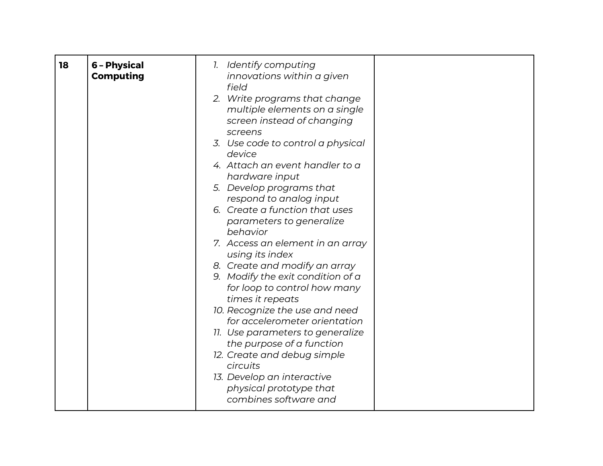| 18 | 6 - Physical<br><b>Computing</b> | 1. Identify computing<br>innovations within a given<br>field<br>2. Write programs that change<br>multiple elements on a single<br>screen instead of changing<br>screens<br>3. Use code to control a physical<br>device<br>4. Attach an event handler to a<br>hardware input<br>5. Develop programs that<br>respond to analog input<br>6. Create a function that uses<br>parameters to generalize<br>behavior<br>7. Access an element in an array<br>using its index<br>8. Create and modify an array<br>9. Modify the exit condition of a<br>for loop to control how many<br>times it repeats<br>10. Recognize the use and need<br>for accelerometer orientation<br>11. Use parameters to generalize<br>the purpose of a function<br>12. Create and debug simple |  |
|----|----------------------------------|------------------------------------------------------------------------------------------------------------------------------------------------------------------------------------------------------------------------------------------------------------------------------------------------------------------------------------------------------------------------------------------------------------------------------------------------------------------------------------------------------------------------------------------------------------------------------------------------------------------------------------------------------------------------------------------------------------------------------------------------------------------|--|
|    |                                  | circuits<br>13. Develop an interactive<br>physical prototype that<br>combines software and                                                                                                                                                                                                                                                                                                                                                                                                                                                                                                                                                                                                                                                                       |  |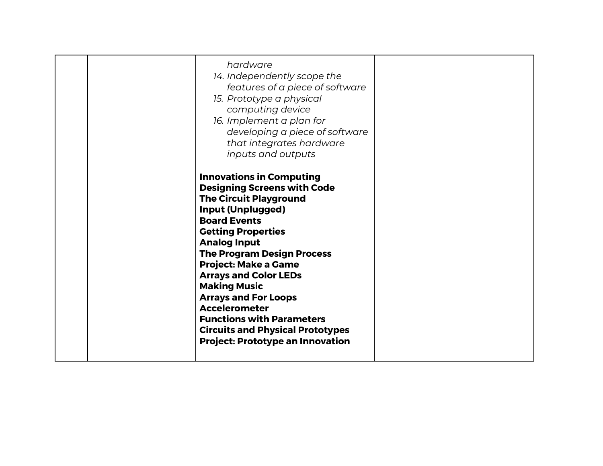| <b>Making Music</b><br><b>Arrays and For Loops</b><br><b>Accelerometer</b><br><b>Functions with Parameters</b><br><b>Circuits and Physical Prototypes</b><br><b>Project: Prototype an Innovation</b> |
|------------------------------------------------------------------------------------------------------------------------------------------------------------------------------------------------------|
|------------------------------------------------------------------------------------------------------------------------------------------------------------------------------------------------------|